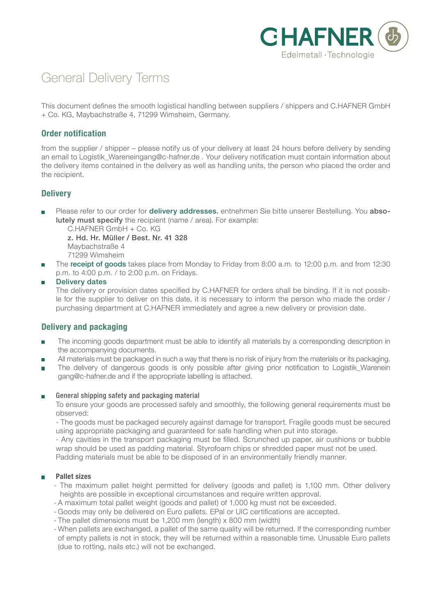

# General Delivery Terms

This document defines the smooth logistical handling between suppliers / shippers and C.HAFNER GmbH + Co. KG, Maybachstraße 4, 71299 Wimsheim, Germany.

# **Order notification**

from the supplier / shipper – please notify us of your delivery at least 24 hours before delivery by sending an email to Logistik\_Wareneingang@c-hafner.de . Your delivery notification must contain information about the delivery items contained in the delivery as well as handling units, the person who placed the order and the recipient.

# **Delivery**

Please refer to our order for **delivery addresses.** entnehmen Sie bitte unserer Bestellung. You absolutely must specify the recipient (name / area). For example:

C.HAFNER GmbH + Co. KG

 z. Hd. Hr. Müller / Best. Nr. 41 328 Maybachstraße 4

- 71299 Wimsheim
- The **receipt of goods** takes place from Monday to Friday from 8:00 a.m. to 12:00 p.m. and from 12:30 p.m. to 4:00 p.m. / to 2:00 p.m. on Fridays.

**Delivery dates** 

The delivery or provision dates specified by C.HAFNER for orders shall be binding. If it is not possible for the supplier to deliver on this date, it is necessary to inform the person who made the order / purchasing department at C.HAFNER immediately and agree a new delivery or provision date.

# **Delivery and packaging**

- The incoming goods department must be able to identify all materials by a corresponding description in  $\overline{\phantom{a}}$ the accompanying documents.
- All materials must be packaged in such a way that there is no risk of injury from the materials or its packaging.
- $\blacksquare$ The delivery of dangerous goods is only possible after giving prior notification to Logistik Warenein gang@c-hafner.de and if the appropriate labelling is attached.

### General shipping safety and packaging material

To ensure your goods are processed safely and smoothly, the following general requirements must be observed:

- The goods must be packaged securely against damage for transport. Fragile goods must be secured using appropriate packaging and guaranteed for safe handling when put into storage.

- Any cavities in the transport packaging must be filled. Scrunched up paper, air cushions or bubble wrap should be used as padding material. Styrofoam chips or shredded paper must not be used. Padding materials must be able to be disposed of in an environmentally friendly manner.

### **Pallet sizes**

- The maximum pallet height permitted for delivery (goods and pallet) is 1,100 mm. Other delivery heights are possible in exceptional circumstances and require written approval.
- A maximum total pallet weight (goods and pallet) of 1,000 kg must not be exceeded.
- Goods may only be delivered on Euro pallets. EPal or UIC certifications are accepted.
- The pallet dimensions must be 1,200 mm (length) x 800 mm (width)
- When pallets are exchanged, a pallet of the same quality will be returned. If the corresponding number of empty pallets is not in stock, they will be returned within a reasonable time. Unusable Euro pallets (due to rotting, nails etc.) will not be exchanged.